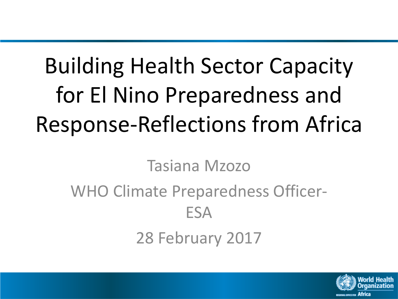# Building Health Sector Capacity for El Nino Preparedness and Response-Reflections from Africa

Tasiana Mzozo

## WHO Climate Preparedness Officer-ESA

28 February 2017

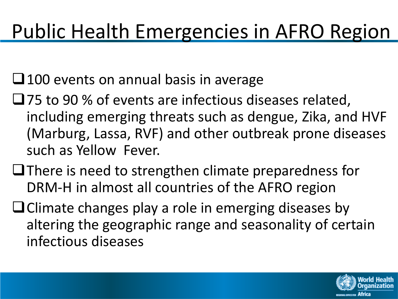## Public Health Emergencies in AFRO Region

 $\Box$  100 events on annual basis in average

- □75 to 90 % of events are infectious diseases related, including emerging threats such as dengue, Zika, and HVF (Marburg, Lassa, RVF) and other outbreak prone diseases such as Yellow Fever.
- $\Box$  There is need to strengthen climate preparedness for DRM-H in almost all countries of the AFRO region
- $\Box$  Climate changes play a role in emerging diseases by altering the geographic range and seasonality of certain infectious diseases

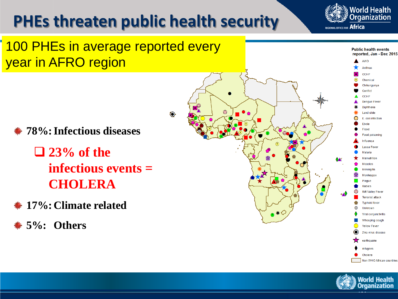### **PHEs threaten public health security**

 $\odot$ 





- **78%:Infectious diseases**
	- **23% of the infectious events = CHOLERA**
- **17%: Climate related**
- **5%: Others**





Non WHO African countries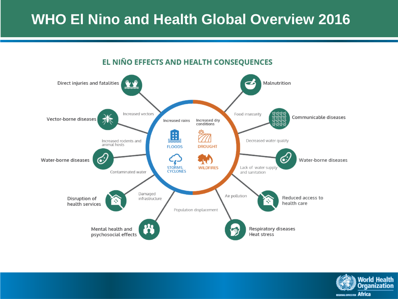### **WHO El Nino and Health Global Overview 2016**



#### EL NIÑO EFFECTS AND HEALTH CONSEQUENCES

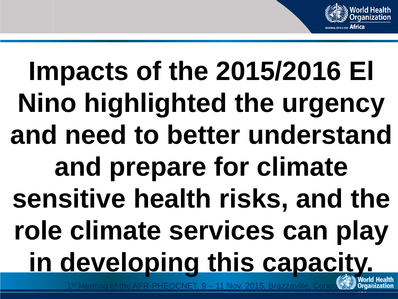

# **Impacts of the 2015/2016 El Nino highlighted the urgency and need to better understand and prepare for climate sensitive health risks, and the role climate services can play in developing this capacity.**

 $19 - 11$  Nov. 2015, Brazzavil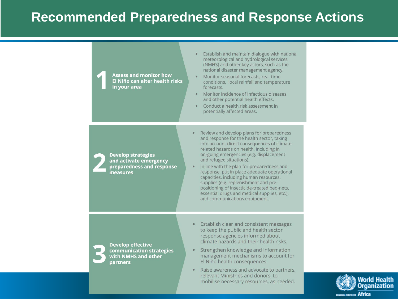#### **Recommended Preparedness and Response Actions**

Establish and maintain dialogue with national meteorological and hydrological services (NMHS) and other key actors, such as the national disaster management agency. **Assess and monitor how** Monitor seasonal forecasts, real-time El Niño can alter health risks conditions, local rainfall and temperature in your area forecasts. Monitor incidence of infectious diseases and other potential health effects. Conduct a health risk assessment in potentially affected areas. Review and develop plans for preparedness  $\bullet$ and response for the health sector, taking into account direct consequences of climaterelated hazards on health, including in on-going emergencies (e.g. displacement **Develop strategies** and refugee situations). and activate emergency preparedness and response In line with the plan for preparedness and  $\bullet$ response, put in place adequate operational measures capacities, including human resources, supplies (e.g. replenishment and prepositioning of insecticide-treated bed-nets, essential drugs and medical supplies, etc.), and communications equipment. Establish clear and consistent messages  $\bullet$ to keep the public and health sector response agencies informed about climate hazards and their health risks. **Develop effective** Strengthen knowledge and information communication strategies  $\bullet$ management mechanisms to account for with NMHS and other El Niño health consequences. partners Raise awareness and advocate to partners,  $\bullet$ 

relevant Ministries and donors, to

mobilise necessary resources, as needed.

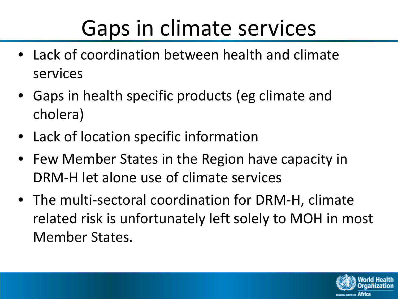# Gaps in climate services

- Lack of coordination between health and climate services
- Gaps in health specific products (eg climate and cholera)
- Lack of location specific information
- Few Member States in the Region have capacity in DRM-H let alone use of climate services
- The multi-sectoral coordination for DRM-H, climate related risk is unfortunately left solely to MOH in most Member States.

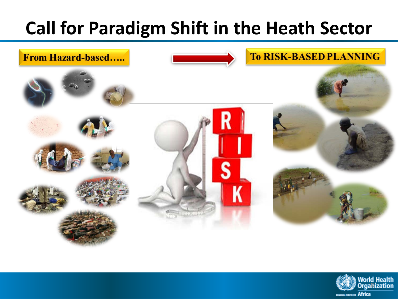## **Call for Paradigm Shift in the Heath Sector**